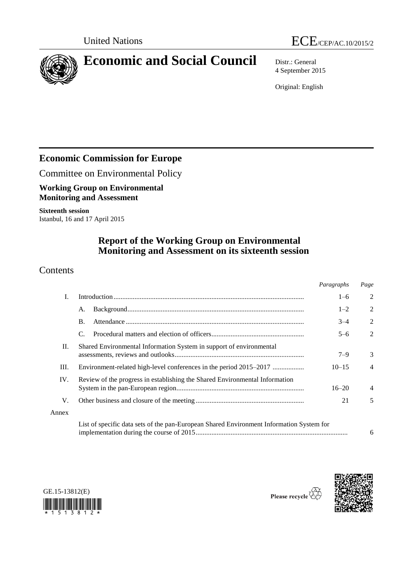



# **Economic and Social Council** Distr.: General

4 September 2015

Original: English

# **Economic Commission for Europe**

Committee on Environmental Policy

**Working Group on Environmental Monitoring and Assessment**

**Sixteenth session** Istanbul, 16 and 17 April 2015

## **Report of the Working Group on Environmental Monitoring and Assessment on its sixteenth session**

## **Contents**

|       |                                                                                          | Paragraphs | Page           |
|-------|------------------------------------------------------------------------------------------|------------|----------------|
| I.    |                                                                                          | $1 - 6$    | $\overline{2}$ |
|       | А.                                                                                       | $1 - 2$    | $\overline{2}$ |
|       | <b>B.</b>                                                                                | $3 - 4$    | $\overline{2}$ |
|       | C.                                                                                       | $5 - 6$    | $\overline{2}$ |
| П.    | Shared Environmental Information System in support of environmental                      | $7 - 9$    | 3              |
| Ш.    | Environment-related high-level conferences in the period 2015–2017                       | $10 - 15$  | $\overline{4}$ |
| IV.   | Review of the progress in establishing the Shared Environmental Information              | $16 - 20$  | $\overline{4}$ |
| V.    |                                                                                          | 21         | 5              |
| Annex |                                                                                          |            |                |
|       | List of specific data sets of the pan-European Shared Environment Information System for |            | 6              |





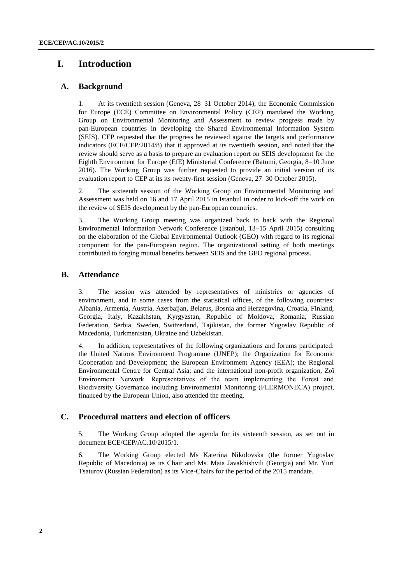## **I. Introduction**

#### **A. Background**

1. At its twentieth session (Geneva, 28–31 October 2014), the Economic Commission for Europe (ECE) Committee on Environmental Policy (CEP) mandated the Working Group on Environmental Monitoring and Assessment to review progress made by pan-European countries in developing the Shared Environmental Information System (SEIS). CEP requested that the progress be reviewed against the targets and performance indicators (ECE/CEP/2014/8) that it approved at its twentieth session, and noted that the review should serve as a basis to prepare an evaluation report on SEIS development for the Eighth Environment for Europe (EfE) Ministerial Conference (Batumi, Georgia, 8–10 June 2016). The Working Group was further requested to provide an initial version of its evaluation report to CEP at its its twenty-first session (Geneva, 27–30 October 2015).

2. The sixteenth session of the Working Group on Environmental Monitoring and Assessment was held on 16 and 17 April 2015 in Istanbul in order to kick-off the work on the review of SEIS development by the pan-European countries.

3. The Working Group meeting was organized back to back with the Regional Environmental Information Network Conference (Istanbul, 13–15 April 2015) consulting on the elaboration of the Global Environmental Outlook (GEO) with regard to its regional component for the pan-European region. The organizational setting of both meetings contributed to forging mutual benefits between SEIS and the GEO regional process.

#### **B. Attendance**

3. The session was attended by representatives of ministries or agencies of environment, and in some cases from the statistical offices, of the following countries: Albania, Armenia, Austria, Azerbaijan, Belarus, Bosnia and Herzegovina, Croatia, Finland, Georgia, Italy, Kazakhstan, Kyrgyzstan, Republic of Moldova, Romania, Russian Federation, Serbia, Sweden, Switzerland, Tajikistan, the former Yugoslav Republic of Macedonia, Turkmenistan, Ukraine and Uzbekistan.

4. In addition, representatives of the following organizations and forums participated: the United Nations Environment Programme (UNEP); the Organization for Economic Cooperation and Development; the European Environment Agency (EEA); the Regional Environmental Centre for Central Asia; and the international non-profit organization, Zoï Environment Network. Representatives of the team implementing the Forest and Biodiversity Governance including Environmental Monitoring (FLERMONECA) project, financed by the European Union, also attended the meeting.

#### **C. Procedural matters and election of officers**

5. The Working Group adopted the agenda for its sixteenth session, as set out in document ECE/CEP/AC.10/2015/1.

6. The Working Group elected Ms Katerina Nikolovska (the former Yugoslav Republic of Macedonia) as its Chair and Ms. Maia Javakhishvili (Georgia) and Mr. Yuri Tsaturov (Russian Federation) as its Vice-Chairs for the period of the 2015 mandate.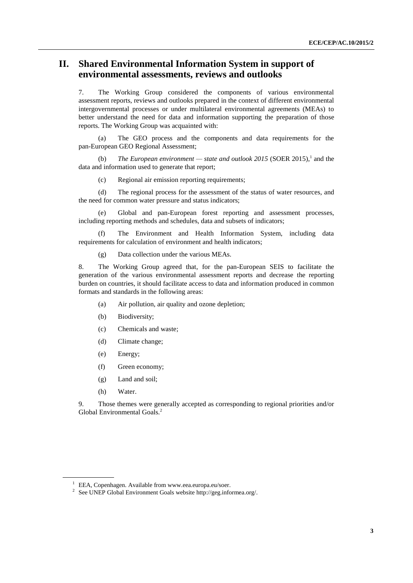## **II. Shared Environmental Information System in support of environmental assessments, reviews and outlooks**

7. The Working Group considered the components of various environmental assessment reports, reviews and outlooks prepared in the context of different environmental intergovernmental processes or under multilateral environmental agreements (MEAs) to better understand the need for data and information supporting the preparation of those reports. The Working Group was acquainted with:

The GEO process and the components and data requirements for the pan-European GEO Regional Assessment;

(b) *The European environment* — *state and outlook 2015* (SOER 2015),<sup>1</sup> and the data and information used to generate that report;

(c) Regional air emission reporting requirements;

(d) The regional process for the assessment of the status of water resources, and the need for common water pressure and status indicators;

(e) Global and pan-European forest reporting and assessment processes, including reporting methods and schedules, data and subsets of indicators;

(f) The Environment and Health Information System, including data requirements for calculation of environment and health indicators;

(g) Data collection under the various MEAs.

8. The Working Group agreed that, for the pan-European SEIS to facilitate the generation of the various environmental assessment reports and decrease the reporting burden on countries, it should facilitate access to data and information produced in common formats and standards in the following areas:

- (a) Air pollution, air quality and ozone depletion;
- (b) Biodiversity;
- (c) Chemicals and waste;
- (d) Climate change;
- (e) Energy;
- (f) Green economy;
- (g) Land and soil;
- (h) Water.

9. Those themes were generally accepted as corresponding to regional priorities and/or Global Environmental Goals.<sup>2</sup>

<sup>&</sup>lt;sup>1</sup> EEA, Copenhagen. Available from www.eea.europa.eu/soer.

<sup>&</sup>lt;sup>2</sup> See UNEP Global Environment Goals website http://geg.informea.org/.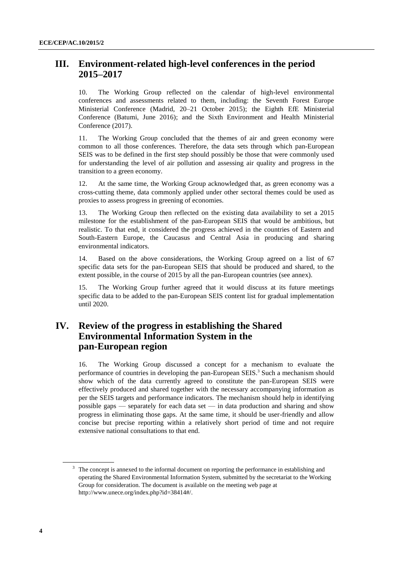## **III. Environment-related high-level conferences in the period 2015–2017**

10. The Working Group reflected on the calendar of high-level environmental conferences and assessments related to them, including: the Seventh Forest Europe Ministerial Conference (Madrid, 20–21 October 2015); the Eighth EfE Ministerial Conference (Batumi, June 2016); and the Sixth Environment and Health Ministerial Conference (2017).

11. The Working Group concluded that the themes of air and green economy were common to all those conferences. Therefore, the data sets through which pan-European SEIS was to be defined in the first step should possibly be those that were commonly used for understanding the level of air pollution and assessing air quality and progress in the transition to a green economy.

12. At the same time, the Working Group acknowledged that, as green economy was a cross-cutting theme, data commonly applied under other sectoral themes could be used as proxies to assess progress in greening of economies.

13. The Working Group then reflected on the existing data availability to set a 2015 milestone for the establishment of the pan-European SEIS that would be ambitious, but realistic. To that end, it considered the progress achieved in the countries of Eastern and South-Eastern Europe, the Caucasus and Central Asia in producing and sharing environmental indicators.

14. Based on the above considerations, the Working Group agreed on a list of 67 specific data sets for the pan-European SEIS that should be produced and shared, to the extent possible, in the course of 2015 by all the pan-European countries (see annex).

15. The Working Group further agreed that it would discuss at its future meetings specific data to be added to the pan-European SEIS content list for gradual implementation until 2020.

## **IV. Review of the progress in establishing the Shared Environmental Information System in the pan-European region**

16. The Working Group discussed a concept for a mechanism to evaluate the performance of countries in developing the pan-European SEIS.<sup>3</sup> Such a mechanism should show which of the data currently agreed to constitute the pan-European SEIS were effectively produced and shared together with the necessary accompanying information as per the SEIS targets and performance indicators. The mechanism should help in identifying possible gaps — separately for each data set — in data production and sharing and show progress in eliminating those gaps. At the same time, it should be user-friendly and allow concise but precise reporting within a relatively short period of time and not require extensive national consultations to that end.

<sup>&</sup>lt;sup>3</sup> The concept is annexed to the informal document on reporting the performance in establishing and operating the Shared Environmental Information System, submitted by the secretariat to the Working Group for consideration. The document is available on the meeting web page at [http://www.unece.org/index.php?id=38414#/.](http://www.unece.org/index.php?id=38414#/)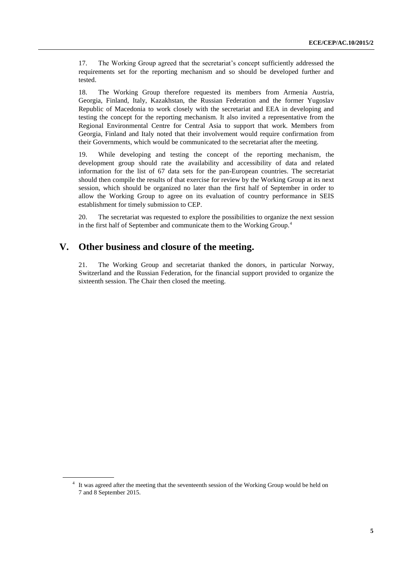17. The Working Group agreed that the secretariat's concept sufficiently addressed the requirements set for the reporting mechanism and so should be developed further and tested.

18. The Working Group therefore requested its members from Armenia Austria, Georgia, Finland, Italy, Kazakhstan, the Russian Federation and the former Yugoslav Republic of Macedonia to work closely with the secretariat and EEA in developing and testing the concept for the reporting mechanism. It also invited a representative from the Regional Environmental Centre for Central Asia to support that work. Members from Georgia, Finland and Italy noted that their involvement would require confirmation from their Governments, which would be communicated to the secretariat after the meeting.

19. While developing and testing the concept of the reporting mechanism, the development group should rate the availability and accessibility of data and related information for the list of 67 data sets for the pan-European countries. The secretariat should then compile the results of that exercise for review by the Working Group at its next session, which should be organized no later than the first half of September in order to allow the Working Group to agree on its evaluation of country performance in SEIS establishment for timely submission to CEP.

20. The secretariat was requested to explore the possibilities to organize the next session in the first half of September and communicate them to the Working Group.<sup>4</sup>

### **V. Other business and closure of the meeting.**

21. The Working Group and secretariat thanked the donors, in particular Norway, Switzerland and the Russian Federation, for the financial support provided to organize the sixteenth session. The Chair then closed the meeting.

<sup>&</sup>lt;sup>4</sup> It was agreed after the meeting that the seventeenth session of the Working Group would be held on 7 and 8 September 2015.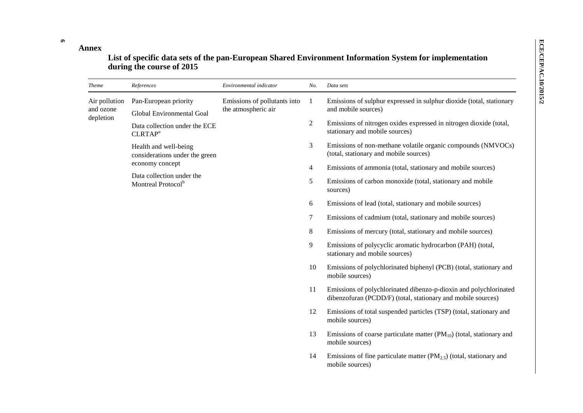**Annex**

**6**

## **List of specific data sets of the pan-European Shared Environment Information System for implementation during the course of 2015**

| <b>Theme</b>               | References                                                  | Environmental indicator                             | No.                                                        | Data sets                                                                                              |    |                                                                                                                                   |  |  |  |  |  |  |  |  |  |  |
|----------------------------|-------------------------------------------------------------|-----------------------------------------------------|------------------------------------------------------------|--------------------------------------------------------------------------------------------------------|----|-----------------------------------------------------------------------------------------------------------------------------------|--|--|--|--|--|--|--|--|--|--|
| Air pollution<br>and ozone | Pan-European priority<br>Global Environmental Goal          | Emissions of pollutants into<br>the atmospheric air | $\mathbf{1}$                                               | Emissions of sulphur expressed in sulphur dioxide (total, stationary<br>and mobile sources)            |    |                                                                                                                                   |  |  |  |  |  |  |  |  |  |  |
| depletion                  | Data collection under the ECE<br>CLRTAP <sup>a</sup>        |                                                     | $\boldsymbol{2}$                                           | Emissions of nitrogen oxides expressed in nitrogen dioxide (total,<br>stationary and mobile sources)   |    |                                                                                                                                   |  |  |  |  |  |  |  |  |  |  |
|                            | Health and well-being<br>considerations under the green     |                                                     | 3                                                          | Emissions of non-methane volatile organic compounds (NMVOCs)<br>(total, stationary and mobile sources) |    |                                                                                                                                   |  |  |  |  |  |  |  |  |  |  |
|                            | economy concept                                             |                                                     | $\overline{4}$                                             | Emissions of ammonia (total, stationary and mobile sources)                                            |    |                                                                                                                                   |  |  |  |  |  |  |  |  |  |  |
|                            | Data collection under the<br>Montreal Protocol <sup>b</sup> | 5<br>sources)                                       | Emissions of carbon monoxide (total, stationary and mobile |                                                                                                        |    |                                                                                                                                   |  |  |  |  |  |  |  |  |  |  |
|                            |                                                             |                                                     | 6                                                          | Emissions of lead (total, stationary and mobile sources)                                               |    |                                                                                                                                   |  |  |  |  |  |  |  |  |  |  |
|                            |                                                             |                                                     | $\tau$                                                     | Emissions of cadmium (total, stationary and mobile sources)                                            |    |                                                                                                                                   |  |  |  |  |  |  |  |  |  |  |
|                            |                                                             |                                                     | $\,8\,$                                                    | Emissions of mercury (total, stationary and mobile sources)                                            |    |                                                                                                                                   |  |  |  |  |  |  |  |  |  |  |
|                            |                                                             |                                                     | 9<br>stationary and mobile sources)                        | Emissions of polycyclic aromatic hydrocarbon (PAH) (total,                                             |    |                                                                                                                                   |  |  |  |  |  |  |  |  |  |  |
|                            |                                                             |                                                     | 10                                                         | Emissions of polychlorinated biphenyl (PCB) (total, stationary and<br>mobile sources)                  |    |                                                                                                                                   |  |  |  |  |  |  |  |  |  |  |
|                            |                                                             |                                                     |                                                            |                                                                                                        | 11 | Emissions of polychlorinated dibenzo-p-dioxin and polychlorinated<br>dibenzofuran (PCDD/F) (total, stationary and mobile sources) |  |  |  |  |  |  |  |  |  |  |
|                            |                                                             |                                                     |                                                            |                                                                                                        |    |                                                                                                                                   |  |  |  |  |  |  |  |  |  |  |
|                            |                                                             |                                                     | 13                                                         | Emissions of coarse particulate matter $(PM_{10})$ (total, stationary and<br>mobile sources)           |    |                                                                                                                                   |  |  |  |  |  |  |  |  |  |  |
|                            |                                                             |                                                     | 14                                                         | Emissions of fine particulate matter $(PM_{2.5})$ (total, stationary and<br>mobile sources)            |    |                                                                                                                                   |  |  |  |  |  |  |  |  |  |  |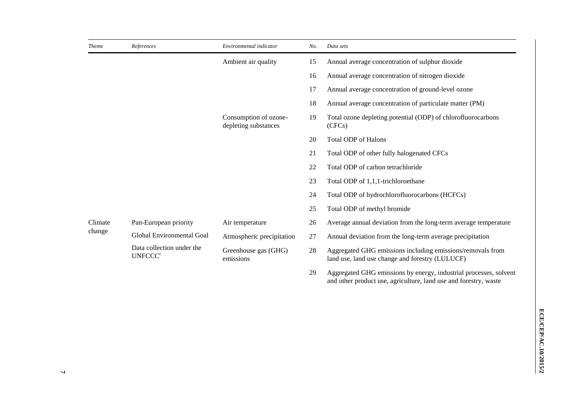| <b>Theme</b>      | References                                       | Environmental indicator                       | No.    | Data sets                                                                                                                             |
|-------------------|--------------------------------------------------|-----------------------------------------------|--------|---------------------------------------------------------------------------------------------------------------------------------------|
|                   |                                                  | Ambient air quality                           | 15     | Annual average concentration of sulphur dioxide                                                                                       |
|                   |                                                  |                                               | 16     | Annual average concentration of nitrogen dioxide                                                                                      |
|                   |                                                  |                                               | 17     | Annual average concentration of ground-level ozone                                                                                    |
|                   |                                                  |                                               | 18     | Annual average concentration of particulate matter (PM)                                                                               |
|                   |                                                  | Consumption of ozone-<br>depleting substances | 19     | Total ozone depleting potential (ODP) of chlorofluorocarbons<br>(CFCs)                                                                |
|                   |                                                  |                                               | 20     | <b>Total ODP of Halons</b>                                                                                                            |
|                   |                                                  |                                               | 21     | Total ODP of other fully halogenated CFCs                                                                                             |
|                   |                                                  |                                               | 22     | Total ODP of carbon tetrachloride                                                                                                     |
|                   |                                                  |                                               | 23     | Total ODP of 1,1,1-trichloroethane                                                                                                    |
|                   |                                                  |                                               | 24     | Total ODP of hydrochlorofluorocarbons (HCFCs)                                                                                         |
|                   |                                                  |                                               | 25     | Total ODP of methyl bromide                                                                                                           |
| Climate<br>change | Pan-European priority                            | Air temperature                               | 26     | Average annual deviation from the long-term average temperature                                                                       |
|                   | Global Environmental Goal                        | Atmospheric precipitation                     | $27\,$ | Annual deviation from the long-term average precipitation                                                                             |
|                   | Data collection under the<br>UNFCCC <sup>c</sup> | Greenhouse gas (GHG)<br>emissions             | 28     | Aggregated GHG emissions including emissions/removals from<br>land use, land use change and forestry (LULUCF)                         |
|                   |                                                  |                                               | 29     | Aggregated GHG emissions by energy, industrial processes, solvent<br>and other product use, agriculture, land use and forestry, waste |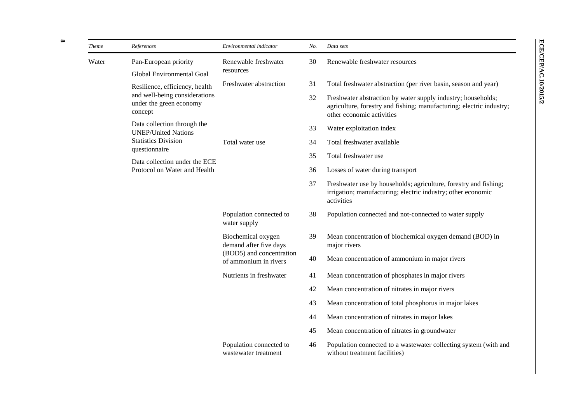| <b>Theme</b> | References                                                                                            | Environmental indicator                                                                           | No. | Data sets                                                                                                                                                         |
|--------------|-------------------------------------------------------------------------------------------------------|---------------------------------------------------------------------------------------------------|-----|-------------------------------------------------------------------------------------------------------------------------------------------------------------------|
| Water        | Pan-European priority                                                                                 | Renewable freshwater<br>resources                                                                 | 30  | Renewable freshwater resources                                                                                                                                    |
|              | Global Environmental Goal                                                                             |                                                                                                   |     |                                                                                                                                                                   |
|              | Resilience, efficiency, health<br>and well-being considerations<br>under the green economy<br>concept | Freshwater abstraction                                                                            | 31  | Total freshwater abstraction (per river basin, season and year)                                                                                                   |
|              |                                                                                                       |                                                                                                   | 32  | Freshwater abstraction by water supply industry; households;<br>agriculture, forestry and fishing; manufacturing; electric industry;<br>other economic activities |
|              | Data collection through the<br><b>UNEP/United Nations</b>                                             |                                                                                                   | 33  | Water exploitation index                                                                                                                                          |
|              | <b>Statistics Division</b>                                                                            | Total water use                                                                                   | 34  | Total freshwater available                                                                                                                                        |
|              | questionnaire                                                                                         |                                                                                                   | 35  | Total freshwater use                                                                                                                                              |
|              | Data collection under the ECE<br>Protocol on Water and Health                                         |                                                                                                   | 36  | Losses of water during transport                                                                                                                                  |
|              |                                                                                                       |                                                                                                   | 37  | Freshwater use by households; agriculture, forestry and fishing;<br>irrigation; manufacturing; electric industry; other economic<br>activities                    |
|              |                                                                                                       | Population connected to<br>water supply                                                           | 38  | Population connected and not-connected to water supply                                                                                                            |
|              |                                                                                                       | Biochemical oxygen<br>demand after five days<br>(BOD5) and concentration<br>of ammonium in rivers | 39  | Mean concentration of biochemical oxygen demand (BOD) in<br>major rivers                                                                                          |
|              |                                                                                                       |                                                                                                   | 40  | Mean concentration of ammonium in major rivers                                                                                                                    |
|              |                                                                                                       | Nutrients in freshwater                                                                           | 41  | Mean concentration of phosphates in major rivers                                                                                                                  |
|              |                                                                                                       |                                                                                                   | 42  | Mean concentration of nitrates in major rivers                                                                                                                    |
|              |                                                                                                       |                                                                                                   | 43  | Mean concentration of total phosphorus in major lakes                                                                                                             |
|              |                                                                                                       |                                                                                                   | 44  | Mean concentration of nitrates in major lakes                                                                                                                     |
|              |                                                                                                       |                                                                                                   | 45  | Mean concentration of nitrates in groundwater                                                                                                                     |
|              |                                                                                                       | Population connected to<br>wastewater treatment                                                   | 46  | Population connected to a wastewater collecting system (with and<br>without treatment facilities)                                                                 |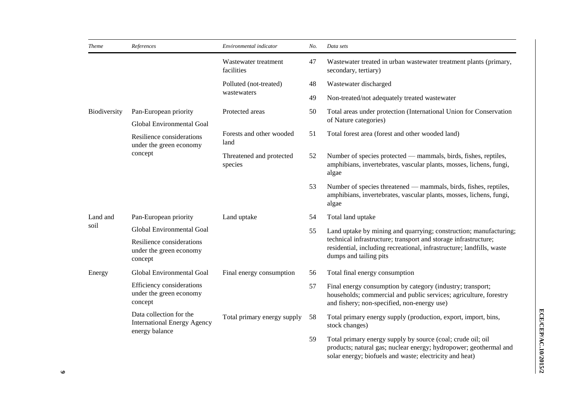| <b>Theme</b> | References                                                                      | Environmental indicator             | No. | Data sets                                                                                                                                                                                   |
|--------------|---------------------------------------------------------------------------------|-------------------------------------|-----|---------------------------------------------------------------------------------------------------------------------------------------------------------------------------------------------|
|              |                                                                                 | Wastewater treatment<br>facilities  | 47  | Wastewater treated in urban wastewater treatment plants (primary,<br>secondary, tertiary)                                                                                                   |
|              |                                                                                 | Polluted (not-treated)              | 48  | Wastewater discharged                                                                                                                                                                       |
|              |                                                                                 | wastewaters                         | 49  | Non-treated/not adequately treated wastewater                                                                                                                                               |
| Biodiversity | Pan-European priority<br>Global Environmental Goal                              | Protected areas                     | 50  | Total areas under protection (International Union for Conservation<br>of Nature categories)                                                                                                 |
|              | Resilience considerations<br>under the green economy<br>concept                 | Forests and other wooded<br>land    | 51  | Total forest area (forest and other wooded land)                                                                                                                                            |
|              |                                                                                 | Threatened and protected<br>species | 52  | Number of species protected — mammals, birds, fishes, reptiles,<br>amphibians, invertebrates, vascular plants, mosses, lichens, fungi,<br>algae                                             |
|              |                                                                                 |                                     | 53  | Number of species threatened — mammals, birds, fishes, reptiles,<br>amphibians, invertebrates, vascular plants, mosses, lichens, fungi,<br>algae                                            |
| Land and     | Pan-European priority                                                           | Land uptake                         | 54  | Total land uptake                                                                                                                                                                           |
| soil         | Global Environmental Goal                                                       |                                     | 55  | Land uptake by mining and quarrying; construction; manufacturing;                                                                                                                           |
|              | Resilience considerations<br>under the green economy<br>concept                 |                                     |     | technical infrastructure; transport and storage infrastructure;<br>residential, including recreational, infrastructure; landfills, waste<br>dumps and tailing pits                          |
| Energy       | Global Environmental Goal                                                       | Final energy consumption            | 56  | Total final energy consumption                                                                                                                                                              |
|              | Efficiency considerations<br>under the green economy<br>concept                 |                                     | 57  | Final energy consumption by category (industry; transport;<br>households; commercial and public services; agriculture, forestry<br>and fishery; non-specified, non-energy use)              |
|              | Data collection for the<br><b>International Energy Agency</b><br>energy balance | Total primary energy supply         | 58  | Total primary energy supply (production, export, import, bins,<br>stock changes)                                                                                                            |
|              |                                                                                 |                                     | 59  | Total primary energy supply by source (coal; crude oil; oil<br>products; natural gas; nuclear energy; hydropower; geothermal and<br>solar energy; biofuels and waste; electricity and heat) |